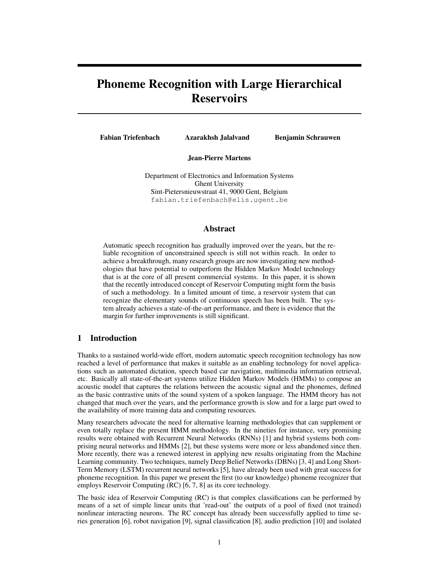# Phoneme Recognition with Large Hierarchical **Reservoirs**

Fabian Triefenbach Azarakhsh Jalalvand Benjamin Schrauwen

Jean-Pierre Martens

Department of Electronics and Information Systems Ghent University Sint-Pietersnieuwstraat 41, 9000 Gent, Belgium fabian.triefenbach@elis.ugent.be

## Abstract

Automatic speech recognition has gradually improved over the years, but the reliable recognition of unconstrained speech is still not within reach. In order to achieve a breakthrough, many research groups are now investigating new methodologies that have potential to outperform the Hidden Markov Model technology that is at the core of all present commercial systems. In this paper, it is shown that the recently introduced concept of Reservoir Computing might form the basis of such a methodology. In a limited amount of time, a reservoir system that can recognize the elementary sounds of continuous speech has been built. The system already achieves a state-of-the-art performance, and there is evidence that the margin for further improvements is still significant.

## 1 Introduction

Thanks to a sustained world-wide effort, modern automatic speech recognition technology has now reached a level of performance that makes it suitable as an enabling technology for novel applications such as automated dictation, speech based car navigation, multimedia information retrieval, etc. Basically all state-of-the-art systems utilize Hidden Markov Models (HMMs) to compose an acoustic model that captures the relations between the acoustic signal and the phonemes, defined as the basic contrastive units of the sound system of a spoken language. The HMM theory has not changed that much over the years, and the performance growth is slow and for a large part owed to the availability of more training data and computing resources.

Many researchers advocate the need for alternative learning methodologies that can supplement or even totally replace the present HMM methodology. In the nineties for instance, very promising results were obtained with Recurrent Neural Networks (RNNs) [1] and hybrid systems both comprising neural networks and HMMs [2], but these systems were more or less abandoned since then. More recently, there was a renewed interest in applying new results originating from the Machine Learning community. Two techniques, namely Deep Belief Networks (DBNs) [3, 4] and Long Short-Term Memory (LSTM) recurrent neural networks [5], have already been used with great success for phoneme recognition. In this paper we present the first (to our knowledge) phoneme recognizer that employs Reservoir Computing (RC) [6, 7, 8] as its core technology.

The basic idea of Reservoir Computing (RC) is that complex classifications can be performed by means of a set of simple linear units that 'read-out' the outputs of a pool of fixed (not trained) nonlinear interacting neurons. The RC concept has already been successfully applied to time series generation [6], robot navigation [9], signal classification [8], audio prediction [10] and isolated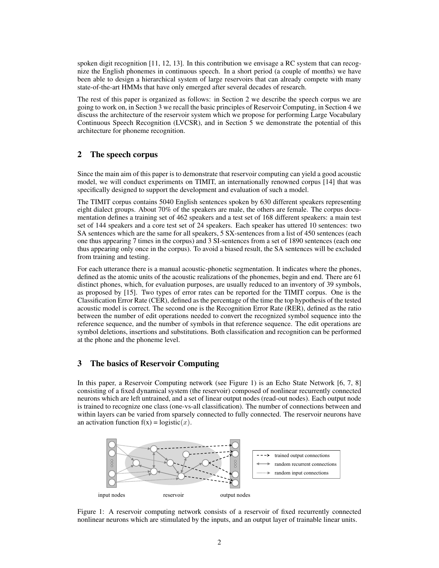spoken digit recognition [11, 12, 13]. In this contribution we envisage a RC system that can recognize the English phonemes in continuous speech. In a short period (a couple of months) we have been able to design a hierarchical system of large reservoirs that can already compete with many state-of-the-art HMMs that have only emerged after several decades of research.

The rest of this paper is organized as follows: in Section 2 we describe the speech corpus we are going to work on, in Section 3 we recall the basic principles of Reservoir Computing, in Section 4 we discuss the architecture of the reservoir system which we propose for performing Large Vocabulary Continuous Speech Recognition (LVCSR), and in Section 5 we demonstrate the potential of this architecture for phoneme recognition.

## 2 The speech corpus

Since the main aim of this paper is to demonstrate that reservoir computing can yield a good acoustic model, we will conduct experiments on TIMIT, an internationally renowned corpus [14] that was specifically designed to support the development and evaluation of such a model.

The TIMIT corpus contains 5040 English sentences spoken by 630 different speakers representing eight dialect groups. About 70% of the speakers are male, the others are female. The corpus documentation defines a training set of 462 speakers and a test set of 168 different speakers: a main test set of 144 speakers and a core test set of 24 speakers. Each speaker has uttered 10 sentences: two SA sentences which are the same for all speakers, 5 SX-sentences from a list of 450 sentences (each one thus appearing 7 times in the corpus) and 3 SI-sentences from a set of 1890 sentences (each one thus appearing only once in the corpus). To avoid a biased result, the SA sentences will be excluded from training and testing.

For each utterance there is a manual acoustic-phonetic segmentation. It indicates where the phones, defined as the atomic units of the acoustic realizations of the phonemes, begin and end. There are 61 distinct phones, which, for evaluation purposes, are usually reduced to an inventory of 39 symbols, as proposed by [15]. Two types of error rates can be reported for the TIMIT corpus. One is the Classification Error Rate (CER), defined as the percentage of the time the top hypothesis of the tested acoustic model is correct. The second one is the Recognition Error Rate (RER), defined as the ratio between the number of edit operations needed to convert the recognized symbol sequence into the reference sequence, and the number of symbols in that reference sequence. The edit operations are symbol deletions, insertions and substitutions. Both classification and recognition can be performed at the phone and the phoneme level.

# 3 The basics of Reservoir Computing

In this paper, a Reservoir Computing network (see Figure 1) is an Echo State Network [6, 7, 8] consisting of a fixed dynamical system (the reservoir) composed of nonlinear recurrently connected neurons which are left untrained, and a set of linear output nodes (read-out nodes). Each output node is trained to recognize one class (one-vs-all classification). The number of connections between and within layers can be varied from sparsely connected to fully connected. The reservoir neurons have an activation function  $f(x) = logistic(x)$ .



Figure 1: A reservoir computing network consists of a reservoir of fixed recurrently connected nonlinear neurons which are stimulated by the inputs, and an output layer of trainable linear units.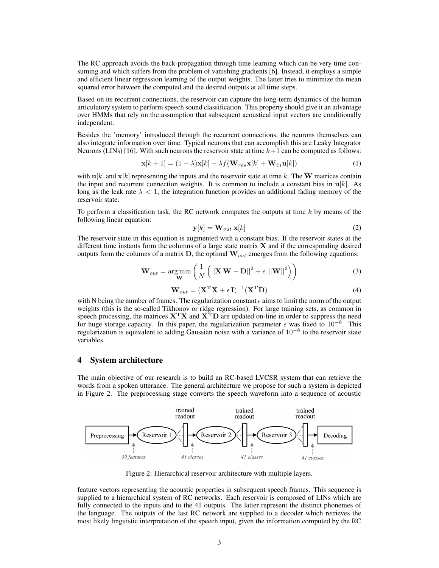The RC approach avoids the back-propagation through time learning which can be very time consuming and which suffers from the problem of vanishing gradients [6]. Instead, it employs a simple and efficient linear regression learning of the output weights. The latter tries to minimize the mean squared error between the computed and the desired outputs at all time steps.

Based on its recurrent connections, the reservoir can capture the long-term dynamics of the human articulatory system to perform speech sound classification. This property should give it an advantage over HMMs that rely on the assumption that subsequent acoustical input vectors are conditionally independent.

Besides the 'memory' introduced through the recurrent connections, the neurons themselves can also integrate information over time. Typical neurons that can accomplish this are Leaky Integrator Neurons (LINs) [16]. With such neurons the reservoir state at time  $k+1$  can be computed as follows:

$$
\mathbf{x}[k+1] = (1 - \lambda)\mathbf{x}[k] + \lambda f(\mathbf{W}_{res}\mathbf{x}[k] + \mathbf{W}_{in}\mathbf{u}[k])
$$
\n(1)

with  $\mathbf{u}[k]$  and  $\mathbf{x}[k]$  representing the inputs and the reservoir state at time k. The W matrices contain the input and recurrent connection weights. It is common to include a constant bias in  $\mathbf{u}[k]$ . As long as the leak rate  $\lambda < 1$ , the integration function provides an additional fading memory of the reservoir state.

To perform a classification task, the RC network computes the outputs at time  $k$  by means of the following linear equation:

$$
\mathbf{y}[k] = \mathbf{W}_{out} \mathbf{x}[k] \tag{2}
$$

The reservoir state in this equation is augmented with a constant bias. If the reservoir states at the different time instants form the columns of a large state matrix  $X$  and if the corresponding desired outputs form the columns of a matrix  $D$ , the optimal  $W_{out}$  emerges from the following equations:

$$
\mathbf{W}_{out} = \underset{\mathbf{W}}{\arg\min} \left( \frac{1}{N} \left( \left\| \mathbf{X} \mathbf{W} - \mathbf{D} \right\|^2 + \epsilon \left\| \mathbf{W} \right\|^2 \right) \right) \tag{3}
$$

$$
\mathbf{W}_{out} = (\mathbf{X}^{\mathbf{T}} \mathbf{X} + \epsilon \mathbf{I})^{-1} (\mathbf{X}^{\mathbf{T}} \mathbf{D})
$$
(4)

with N being the number of frames. The regularization constant  $\epsilon$  aims to limit the norm of the output weights (this is the so-called Tikhonov or ridge regression). For large training sets, as common in speech processing, the matrices  $X^TX$  and  $X^TD$  are updated on-line in order to suppress the need for huge storage capacity. In this paper, the regularization parameter  $\epsilon$  was fixed to 10<sup>-8</sup>. This regularization is equivalent to adding Gaussian noise with a variance of  $10^{-8}$  to the reservoir state variables.

## 4 System architecture

The main objective of our research is to build an RC-based LVCSR system that can retrieve the words from a spoken utterance. The general architecture we propose for such a system is depicted in Figure 2. The preprocessing stage converts the speech waveform into a sequence of acoustic



Figure 2: Hierarchical reservoir architecture with multiple layers.

feature vectors representing the acoustic properties in subsequent speech frames. This sequence is supplied to a hierarchical system of RC networks. Each reservoir is composed of LINs which are fully connected to the inputs and to the 41 outputs. The latter represent the distinct phonemes of the language. The outputs of the last RC network are supplied to a decoder which retrieves the most likely linguistic interpretation of the speech input, given the information computed by the RC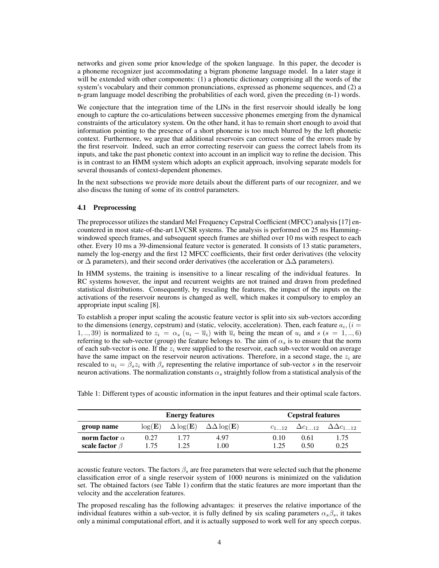networks and given some prior knowledge of the spoken language. In this paper, the decoder is a phoneme recognizer just accommodating a bigram phoneme language model. In a later stage it will be extended with other components: (1) a phonetic dictionary comprising all the words of the system's vocabulary and their common pronunciations, expressed as phoneme sequences, and (2) a n-gram language model describing the probabilities of each word, given the preceding (n-1) words.

We conjecture that the integration time of the LINs in the first reservoir should ideally be long enough to capture the co-articulations between successive phonemes emerging from the dynamical constraints of the articulatory system. On the other hand, it has to remain short enough to avoid that information pointing to the presence of a short phoneme is too much blurred by the left phonetic context. Furthermore, we argue that additional reservoirs can correct some of the errors made by the first reservoir. Indeed, such an error correcting reservoir can guess the correct labels from its inputs, and take the past phonetic context into account in an implicit way to refine the decision. This is in contrast to an HMM system which adopts an explicit approach, involving separate models for several thousands of context-dependent phonemes.

In the next subsections we provide more details about the different parts of our recognizer, and we also discuss the tuning of some of its control parameters.

### 4.1 Preprocessing

The preprocessor utilizes the standard Mel Frequency Cepstral Coefficient (MFCC) analysis [17] encountered in most state-of-the-art LVCSR systems. The analysis is performed on 25 ms Hammingwindowed speech frames, and subsequent speech frames are shifted over 10 ms with respect to each other. Every 10 ms a 39-dimensional feature vector is generated. It consists of 13 static parameters, namely the log-energy and the first 12 MFCC coefficients, their first order derivatives (the velocity or  $\Delta$  parameters), and their second order derivatives (the acceleration or  $\Delta\Delta$  parameters).

In HMM systems, the training is insensitive to a linear rescaling of the individual features. In RC systems however, the input and recurrent weights are not trained and drawn from predefined statistical distributions. Consequently, by rescaling the features, the impact of the inputs on the activations of the reservoir neurons is changed as well, which makes it compulsory to employ an appropriate input scaling [8].

To establish a proper input scaling the acoustic feature vector is split into six sub-vectors according to the dimensions (energy, cepstrum) and (static, velocity, acceleration). Then, each feature  $a_i$ , ( $i =$ 1, .., 39) is normalized to  $z_i = \alpha_s (u_i - \overline{u}_i)$  with  $\overline{u}_i$  being the mean of  $u_i$  and  $s$  ( $s = 1, ..., 6$ ) referring to the sub-vector (group) the feature belongs to. The aim of  $\alpha_s$  is to ensure that the norm of each sub-vector is one. If the  $z_i$  were supplied to the reservoir, each sub-vector would on average have the same impact on the reservoir neuron activations. Therefore, in a second stage, the  $z_i$  are rescaled to  $u_i = \beta_s z_i$  with  $\beta_s$  representing the relative importance of sub-vector s in the reservoir neuron activations. The normalization constants  $\alpha_s$  straightly follow from a statistical analysis of the

|                      | <b>Energy features</b> |      |                                          |      | <b>Cepstral features</b> |                                         |  |
|----------------------|------------------------|------|------------------------------------------|------|--------------------------|-----------------------------------------|--|
| group name           | log(E)                 |      | $\Delta \log(E)$ $\Delta \Delta \log(E)$ |      |                          | $c_{112} \Delta c_{112} \Delta c_{112}$ |  |
| norm factor $\alpha$ | 0.27                   |      | 4.97                                     | 0.10 | 0.61                     | 1.75                                    |  |
| scale factor $\beta$ | 1.75                   | 1.25 | 1.00                                     | 1 25 | 0.50                     | 0.25                                    |  |

Table 1: Different types of acoustic information in the input features and their optimal scale factors.

acoustic feature vectors. The factors  $\beta_s$  are free parameters that were selected such that the phoneme classification error of a single reservoir system of 1000 neurons is minimized on the validation set. The obtained factors (see Table 1) confirm that the static features are more important than the velocity and the acceleration features.

The proposed rescaling has the following advantages: it preserves the relative importance of the individual features within a sub-vector, it is fully defined by six scaling parameters  $\alpha_s \beta_s$ , it takes only a minimal computational effort, and it is actually supposed to work well for any speech corpus.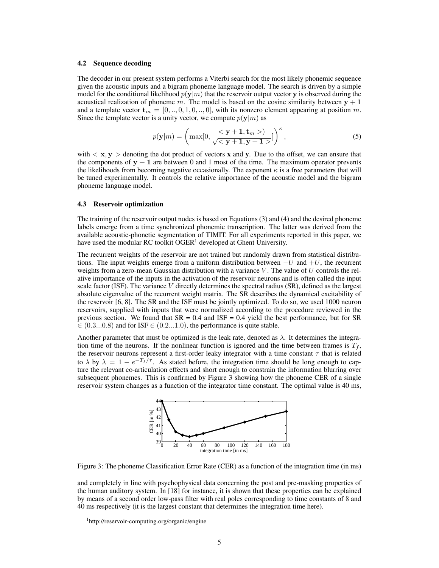#### 4.2 Sequence decoding

The decoder in our present system performs a Viterbi search for the most likely phonemic sequence given the acoustic inputs and a bigram phoneme language model. The search is driven by a simple model for the conditional likelihood  $p(y|m)$  that the reservoir output vector y is observed during the acoustical realization of phoneme m. The model is based on the cosine similarity between  $y + 1$ and a template vector  $\mathbf{t}_m = [0, ..., 0, 1, 0, ..., 0]$ , with its nonzero element appearing at position m. Since the template vector is a unity vector, we compute  $p(y|m)$  as

$$
p(\mathbf{y}|m) = \left(\max[0, \frac{< \mathbf{y} + \mathbf{1}, \mathbf{t}_m >)}{\sqrt{< \mathbf{y} + \mathbf{1}, \mathbf{y} + \mathbf{1} >}}\right)^{\kappa},\tag{5}
$$

with  $\langle x, y \rangle$  denoting the dot product of vectors x and y. Due to the offset, we can ensure that the components of  $y + 1$  are between 0 and 1 most of the time. The maximum operator prevents the likelihoods from becoming negative occasionally. The exponent  $\kappa$  is a free parameters that will be tuned experimentally. It controls the relative importance of the acoustic model and the bigram phoneme language model.

#### 4.3 Reservoir optimization

The training of the reservoir output nodes is based on Equations (3) and (4) and the desired phoneme labels emerge from a time synchronized phonemic transcription. The latter was derived from the available acoustic-phonetic segmentation of TIMIT. For all experiments reported in this paper, we have used the modular RC toolkit  $OGER<sup>1</sup>$  developed at Ghent University.

The recurrent weights of the reservoir are not trained but randomly drawn from statistical distributions. The input weights emerge from a uniform distribution between  $-U$  and  $+U$ , the recurrent weights from a zero-mean Gaussian distribution with a variance V. The value of U controls the relative importance of the inputs in the activation of the reservoir neurons and is often called the input scale factor (ISF). The variance  $V$  directly determines the spectral radius  $(SR)$ , defined as the largest absolute eigenvalue of the recurrent weight matrix. The SR describes the dynamical excitability of the reservoir [6, 8]. The SR and the ISF must be jointly optimized. To do so, we used 1000 neuron reservoirs, supplied with inputs that were normalized according to the procedure reviewed in the previous section. We found that  $SR = 0.4$  and  $ISF = 0.4$  yield the best performance, but for SR  $\in (0.3...0.8)$  and for ISF  $\in (0.2...1.0)$ , the performance is quite stable.

Another parameter that must be optimized is the leak rate, denoted as  $\lambda$ . It determines the integration time of the neurons. If the nonlinear function is ignored and the time between frames is  $T_f$ , the reservoir neurons represent a first-order leaky integrator with a time constant  $\tau$  that is related to  $\lambda$  by  $\lambda = 1 - e^{-T_f/\tau}$ . As stated before, the integration time should be long enough to capture the relevant co-articulation effects and short enough to constrain the information blurring over subsequent phonemes. This is confirmed by Figure 3 showing how the phoneme CER of a single reservoir system changes as a function of the integrator time constant. The optimal value is 40 ms,



Figure 3: The phoneme Classification Error Rate (CER) as a function of the integration time (in ms)

and completely in line with psychophysical data concerning the post and pre-masking properties of the human auditory system. In [18] for instance, it is shown that these properties can be explained by means of a second order low-pass filter with real poles corresponding to time constants of 8 and 40 ms respectively (it is the largest constant that determines the integration time here).

<sup>1</sup> http://reservoir-computing.org/organic/engine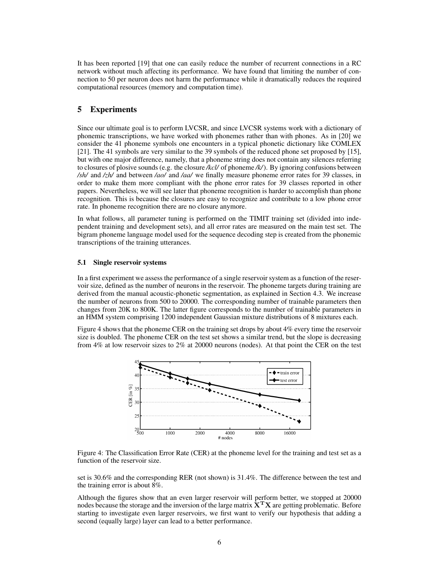It has been reported [19] that one can easily reduce the number of recurrent connections in a RC network without much affecting its performance. We have found that limiting the number of connection to 50 per neuron does not harm the performance while it dramatically reduces the required computational resources (memory and computation time).

## 5 Experiments

Since our ultimate goal is to perform LVCSR, and since LVCSR systems work with a dictionary of phonemic transcriptions, we have worked with phonemes rather than with phones. As in [20] we consider the 41 phoneme symbols one encounters in a typical phonetic dictionary like COMLEX [21]. The 41 symbols are very similar to the 39 symbols of the reduced phone set proposed by [15], but with one major difference, namely, that a phoneme string does not contain any silences referring to closures of plosive sounds (e.g. the closure */kcl/* of phoneme */k/*). By ignoring confusions between */sh/* and */zh/* and between */ao/* and */aa/* we finally measure phoneme error rates for 39 classes, in order to make them more compliant with the phone error rates for 39 classes reported in other papers. Nevertheless, we will see later that phoneme recognition is harder to accomplish than phone recognition. This is because the closures are easy to recognize and contribute to a low phone error rate. In phoneme recognition there are no closure anymore.

In what follows, all parameter tuning is performed on the TIMIT training set (divided into independent training and development sets), and all error rates are measured on the main test set. The bigram phoneme language model used for the sequence decoding step is created from the phonemic transcriptions of the training utterances.

#### 5.1 Single reservoir systems

In a first experiment we assess the performance of a single reservoir system as a function of the reservoir size, defined as the number of neurons in the reservoir. The phoneme targets during training are derived from the manual acoustic-phonetic segmentation, as explained in Section 4.3. We increase the number of neurons from 500 to 20000. The corresponding number of trainable parameters then changes from 20K to 800K. The latter figure corresponds to the number of trainable parameters in an HMM system comprising 1200 independent Gaussian mixture distributions of 8 mixtures each.

Figure 4 shows that the phoneme CER on the training set drops by about 4% every time the reservoir size is doubled. The phoneme CER on the test set shows a similar trend, but the slope is decreasing from 4% at low reservoir sizes to 2% at 20000 neurons (nodes). At that point the CER on the test



Figure 4: The Classification Error Rate (CER) at the phoneme level for the training and test set as a function of the reservoir size.

set is 30.6% and the corresponding RER (not shown) is 31.4%. The difference between the test and the training error is about 8%.

Although the figures show that an even larger reservoir will perform better, we stopped at 20000 nodes because the storage and the inversion of the large matrix  $X<sup>T</sup>X$  are getting problematic. Before starting to investigate even larger reservoirs, we first want to verify our hypothesis that adding a second (equally large) layer can lead to a better performance.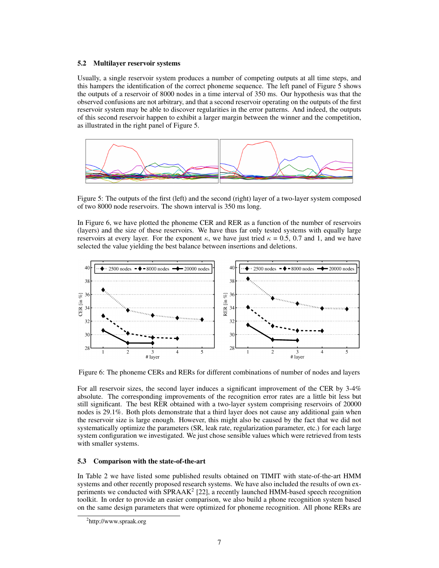## 5.2 Multilayer reservoir systems

Usually, a single reservoir system produces a number of competing outputs at all time steps, and this hampers the identification of the correct phoneme sequence. The left panel of Figure 5 shows the outputs of a reservoir of 8000 nodes in a time interval of 350 ms. Our hypothesis was that the observed confusions are not arbitrary, and that a second reservoir operating on the outputs of the first reservoir system may be able to discover regularities in the error patterns. And indeed, the outputs of this second reservoir happen to exhibit a larger margin between the winner and the competition, as illustrated in the right panel of Figure 5.

![](_page_6_Figure_2.jpeg)

Figure 5: The outputs of the first (left) and the second (right) layer of a two-layer system composed of two 8000 node reservoirs. The shown interval is 350 ms long.

In Figure 6, we have plotted the phoneme CER and RER as a function of the number of reservoirs (layers) and the size of these reservoirs. We have thus far only tested systems with equally large reservoirs at every layer. For the exponent  $\kappa$ , we have just tried  $\kappa = 0.5, 0.7$  and 1, and we have selected the value yielding the best balance between insertions and deletions.

![](_page_6_Figure_5.jpeg)

Figure 6: The phoneme CERs and RERs for different combinations of number of nodes and layers

For all reservoir sizes, the second layer induces a significant improvement of the CER by 3-4% absolute. The corresponding improvements of the recognition error rates are a little bit less but still significant. The best RER obtained with a two-layer system comprising reservoirs of 20000 nodes is 29.1%. Both plots demonstrate that a third layer does not cause any additional gain when the reservoir size is large enough. However, this might also be caused by the fact that we did not systematically optimize the parameters (SR, leak rate, regularization parameter, etc.) for each large system configuration we investigated. We just chose sensible values which were retrieved from tests with smaller systems.

# 5.3 Comparison with the state-of-the-art

In Table 2 we have listed some published results obtained on TIMIT with state-of-the-art HMM systems and other recently proposed research systems. We have also included the results of own experiments we conducted with SPRAA $K^2$  [22], a recently launched HMM-based speech recognition toolkit. In order to provide an easier comparison, we also build a phone recognition system based on the same design parameters that were optimized for phoneme recognition. All phone RERs are

<sup>2</sup> http://www.spraak.org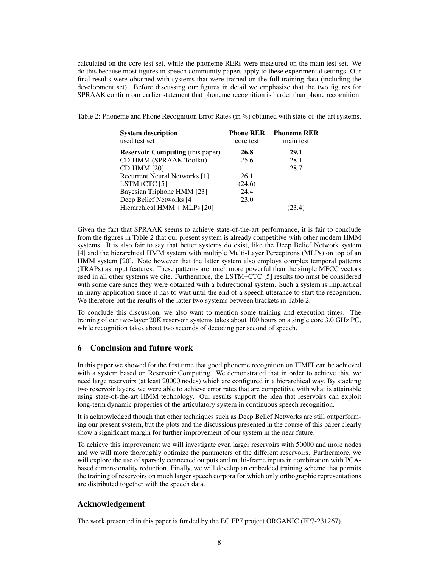calculated on the core test set, while the phoneme RERs were measured on the main test set. We do this because most figures in speech community papers apply to these experimental settings. Our final results were obtained with systems that were trained on the full training data (including the development set). Before discussing our figures in detail we emphasize that the two figures for SPRAAK confirm our earlier statement that phoneme recognition is harder than phone recognition.

| <b>System description</b><br>used test set | <b>Phone RER</b><br>core test | <b>Phoneme RER</b><br>main test |
|--------------------------------------------|-------------------------------|---------------------------------|
| <b>Reservoir Computing</b> (this paper)    | 26.8                          | 29.1                            |
| CD-HMM (SPRAAK Toolkit)                    | 25.6                          | 28.1                            |
| <b>CD-HMM [20]</b>                         |                               | 28.7                            |
| <b>Recurrent Neural Networks</b> [1]       | 26.1                          |                                 |
| LSTM+CTC $[5]$                             | (24.6)                        |                                 |
| Bayesian Triphone HMM [23]                 | 24.4                          |                                 |
| Deep Belief Networks [4]                   | 23.0                          |                                 |
| Hierarchical HMM + MLPs [20]               |                               |                                 |

Table 2: Phoneme and Phone Recognition Error Rates (in %) obtained with state-of-the-art systems.

Given the fact that SPRAAK seems to achieve state-of-the-art performance, it is fair to conclude from the figures in Table 2 that our present system is already competitive with other modern HMM systems. It is also fair to say that better systems do exist, like the Deep Belief Network system [4] and the hierarchical HMM system with multiple Multi-Layer Perceptrons (MLPs) on top of an HMM system [20]. Note however that the latter system also employs complex temporal patterns (TRAPs) as input features. These patterns are much more powerful than the simple MFCC vectors used in all other systems we cite. Furthermore, the LSTM+CTC [5] results too must be considered with some care since they were obtained with a bidirectional system. Such a system is impractical in many application since it has to wait until the end of a speech utterance to start the recognition. We therefore put the results of the latter two systems between brackets in Table 2.

To conclude this discussion, we also want to mention some training and execution times. The training of our two-layer 20K reservoir systems takes about 100 hours on a single core 3.0 GHz PC, while recognition takes about two seconds of decoding per second of speech.

# 6 Conclusion and future work

In this paper we showed for the first time that good phoneme recognition on TIMIT can be achieved with a system based on Reservoir Computing. We demonstrated that in order to achieve this, we need large reservoirs (at least 20000 nodes) which are configured in a hierarchical way. By stacking two reservoir layers, we were able to achieve error rates that are competitive with what is attainable using state-of-the-art HMM technology. Our results support the idea that reservoirs can exploit long-term dynamic properties of the articulatory system in continuous speech recognition.

It is acknowledged though that other techniques such as Deep Belief Networks are still outperforming our present system, but the plots and the discussions presented in the course of this paper clearly show a significant margin for further improvement of our system in the near future.

To achieve this improvement we will investigate even larger reservoirs with 50000 and more nodes and we will more thoroughly optimize the parameters of the different reservoirs. Furthermore, we will explore the use of sparsely connected outputs and multi-frame inputs in combination with PCAbased dimensionality reduction. Finally, we will develop an embedded training scheme that permits the training of reservoirs on much larger speech corpora for which only orthographic representations are distributed together with the speech data.

# Acknowledgement

The work presented in this paper is funded by the EC FP7 project ORGANIC (FP7-231267).